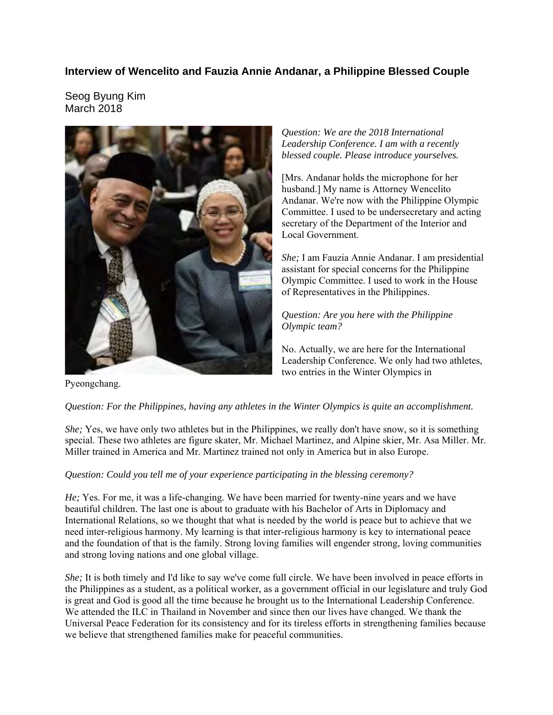## **Interview of Wencelito and Fauzia Annie Andanar, a Philippine Blessed Couple**

Seog Byung Kim March 2018



*Question: We are the 2018 International Leadership Conference. I am with a recently blessed couple. Please introduce yourselves.* 

[Mrs. Andanar holds the microphone for her husband.] My name is Attorney Wencelito Andanar. We're now with the Philippine Olympic Committee. I used to be undersecretary and acting secretary of the Department of the Interior and Local Government.

*She;* I am Fauzia Annie Andanar. I am presidential assistant for special concerns for the Philippine Olympic Committee. I used to work in the House of Representatives in the Philippines.

*Question: Are you here with the Philippine Olympic team?* 

No. Actually, we are here for the International Leadership Conference. We only had two athletes, two entries in the Winter Olympics in

Pyeongchang.

## *Question: For the Philippines, having any athletes in the Winter Olympics is quite an accomplishment.*

*She;* Yes, we have only two athletes but in the Philippines, we really don't have snow, so it is something special. These two athletes are figure skater, Mr. Michael Martinez, and Alpine skier, Mr. Asa Miller. Mr. Miller trained in America and Mr. Martinez trained not only in America but in also Europe.

## *Question: Could you tell me of your experience participating in the blessing ceremony?*

*He;* Yes. For me, it was a life-changing. We have been married for twenty-nine years and we have beautiful children. The last one is about to graduate with his Bachelor of Arts in Diplomacy and International Relations, so we thought that what is needed by the world is peace but to achieve that we need inter-religious harmony. My learning is that inter-religious harmony is key to international peace and the foundation of that is the family. Strong loving families will engender strong, loving communities and strong loving nations and one global village.

*She;* It is both timely and I'd like to say we've come full circle. We have been involved in peace efforts in the Philippines as a student, as a political worker, as a government official in our legislature and truly God is great and God is good all the time because he brought us to the International Leadership Conference. We attended the ILC in Thailand in November and since then our lives have changed. We thank the Universal Peace Federation for its consistency and for its tireless efforts in strengthening families because we believe that strengthened families make for peaceful communities.